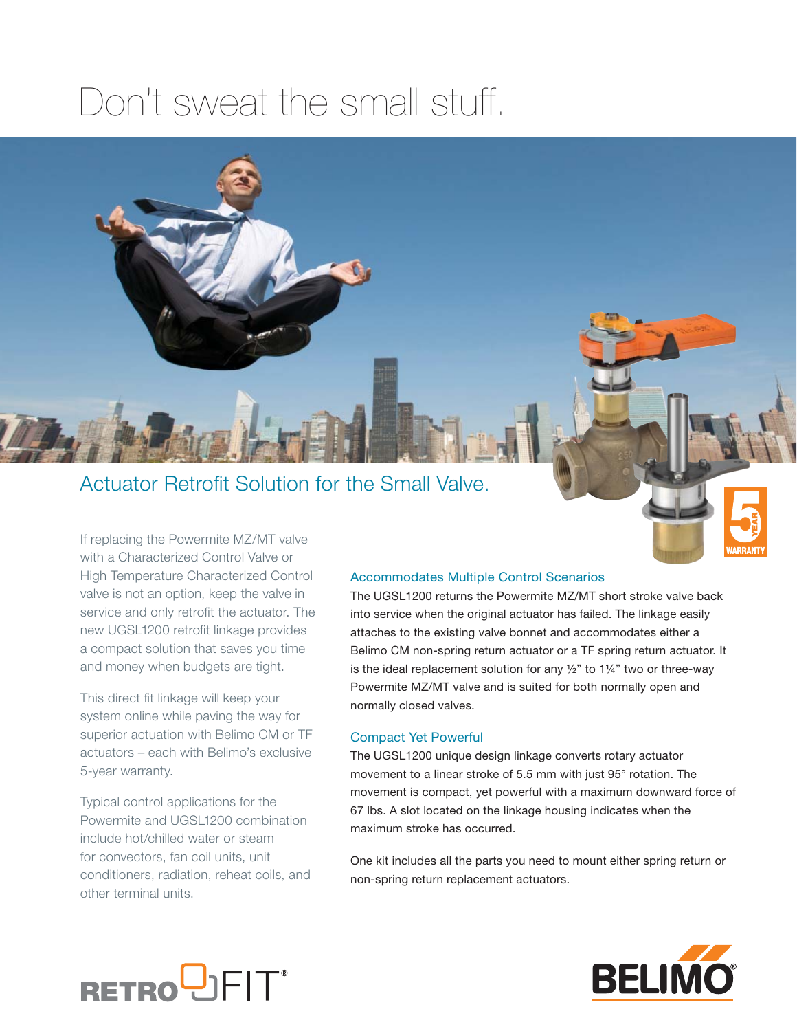## Don't sweat the small stuff.



### Actuator Retrofit Solution for the Small Valve.

If replacing the Powermite MZ/MT valve with a Characterized Control Valve or High Temperature Characterized Control valve is not an option, keep the valve in service and only retrofit the actuator. The new UGSL1200 retrofit linkage provides a compact solution that saves you time and money when budgets are tight.

This direct fit linkage will keep your system online while paving the way for superior actuation with Belimo CM or TF actuators – each with Belimo's exclusive 5-year warranty.

Typical control applications for the Powermite and UGSL1200 combination include hot/chilled water or steam for convectors, fan coil units, unit conditioners, radiation, reheat coils, and other terminal units.

### Accommodates Multiple Control Scenarios

The UGSL1200 returns the Powermite MZ/MT short stroke valve back into service when the original actuator has failed. The linkage easily attaches to the existing valve bonnet and accommodates either a Belimo CM non-spring return actuator or a TF spring return actuator. It is the ideal replacement solution for any  $\frac{1}{2}$ " to 1¼" two or three-way Powermite MZ/MT valve and is suited for both normally open and normally closed valves.

### Compact Yet Powerful

The UGSL1200 unique design linkage converts rotary actuator movement to a linear stroke of 5.5 mm with just 95° rotation. The movement is compact, yet powerful with a maximum downward force of 67 lbs. A slot located on the linkage housing indicates when the maximum stroke has occurred.

One kit includes all the parts you need to mount either spring return or non-spring return replacement actuators.